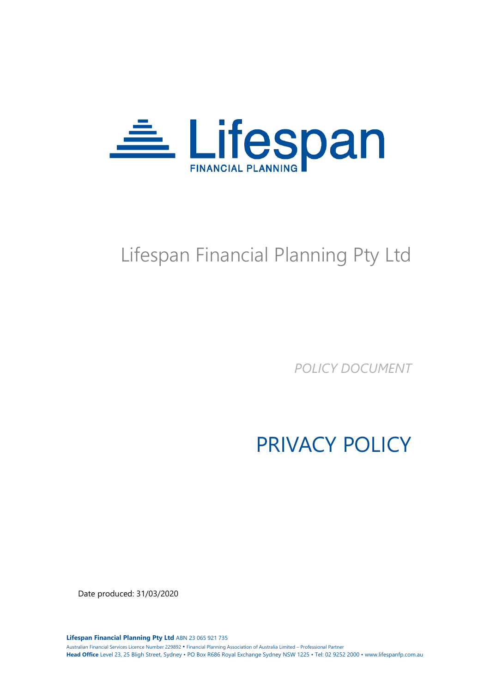

# Lifespan Financial Planning Pty Ltd

*POLICY DOCUMENT*

PRIVACY POLICY

Date produced: 31/03/2020

**Lifespan Financial Planning Pty Ltd** ABN 23 065 921 735

Australian Financial Services Licence Number 229892 • Financial Planning Association of Australia Limited – Professional Partner **Head Office** Level 23, 25 Bligh Street, Sydney • PO Box R686 Royal Exchange Sydney NSW 1225 • Tel: 02 9252 2000 • www.lifespanfp.com.au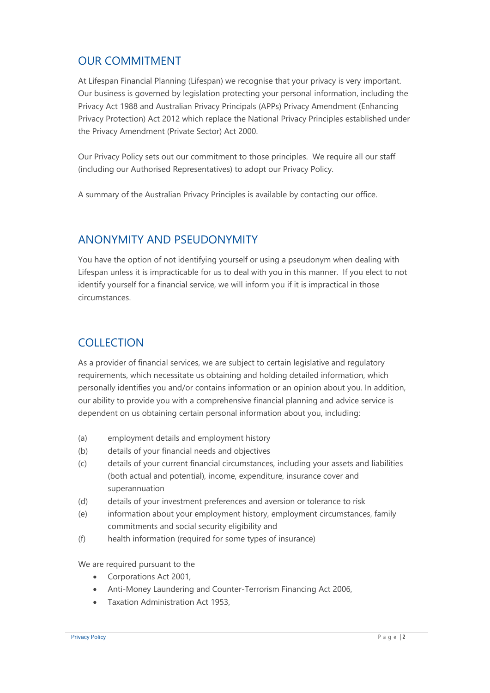#### OUR COMMITMENT

At Lifespan Financial Planning (Lifespan) we recognise that your privacy is very important. Our business is governed by legislation protecting your personal information, including the Privacy Act 1988 and Australian Privacy Principals (APPs) Privacy Amendment (Enhancing Privacy Protection) Act 2012 which replace the National Privacy Principles established under the Privacy Amendment (Private Sector) Act 2000.

Our Privacy Policy sets out our commitment to those principles. We require all our staff (including our Authorised Representatives) to adopt our Privacy Policy.

A summary of the Australian Privacy Principles is available by contacting our office.

#### ANONYMITY AND PSEUDONYMITY

You have the option of not identifying yourself or using a pseudonym when dealing with Lifespan unless it is impracticable for us to deal with you in this manner. If you elect to not identify yourself for a financial service, we will inform you if it is impractical in those circumstances.

#### **COLLECTION**

As a provider of financial services, we are subject to certain legislative and regulatory requirements, which necessitate us obtaining and holding detailed information, which personally identifies you and/or contains information or an opinion about you. In addition, our ability to provide you with a comprehensive financial planning and advice service is dependent on us obtaining certain personal information about you, including:

- (a) employment details and employment history
- (b) details of your financial needs and objectives
- (c) details of your current financial circumstances, including your assets and liabilities (both actual and potential), income, expenditure, insurance cover and superannuation
- (d) details of your investment preferences and aversion or tolerance to risk
- (e) information about your employment history, employment circumstances, family commitments and social security eligibility and
- (f) health information (required for some types of insurance)

We are required pursuant to the

- Corporations Act 2001,
- Anti-Money Laundering and Counter-Terrorism Financing Act 2006,
- Taxation Administration Act 1953.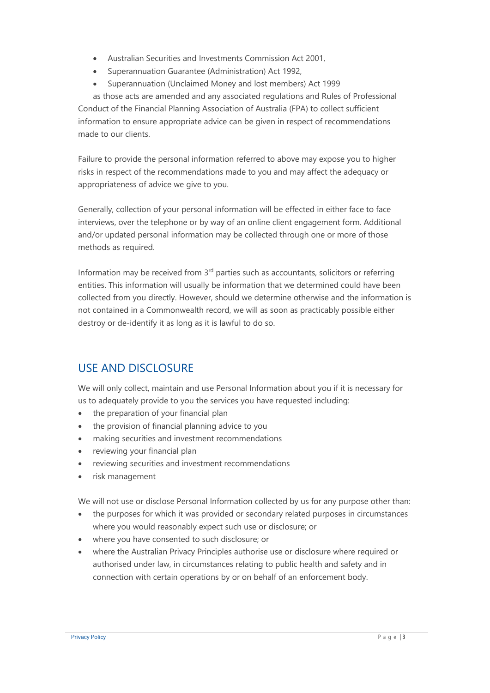- Australian Securities and Investments Commission Act 2001,
- Superannuation Guarantee (Administration) Act 1992,
- Superannuation (Unclaimed Money and lost members) Act 1999

as those acts are amended and any associated regulations and Rules of Professional Conduct of the Financial Planning Association of Australia (FPA) to collect sufficient information to ensure appropriate advice can be given in respect of recommendations made to our clients.

Failure to provide the personal information referred to above may expose you to higher risks in respect of the recommendations made to you and may affect the adequacy or appropriateness of advice we give to you.

Generally, collection of your personal information will be effected in either face to face interviews, over the telephone or by way of an online client engagement form. Additional and/or updated personal information may be collected through one or more of those methods as required.

Information may be received from  $3<sup>rd</sup>$  parties such as accountants, solicitors or referring entities. This information will usually be information that we determined could have been collected from you directly. However, should we determine otherwise and the information is not contained in a Commonwealth record, we will as soon as practicably possible either destroy or de-identify it as long as it is lawful to do so.

## USE AND DISCLOSURE

We will only collect, maintain and use Personal Information about you if it is necessary for us to adequately provide to you the services you have requested including:

- the preparation of your financial plan
- the provision of financial planning advice to you
- making securities and investment recommendations
- reviewing your financial plan
- reviewing securities and investment recommendations
- risk management

We will not use or disclose Personal Information collected by us for any purpose other than:

- the purposes for which it was provided or secondary related purposes in circumstances where you would reasonably expect such use or disclosure; or
- where you have consented to such disclosure; or
- where the Australian Privacy Principles authorise use or disclosure where required or authorised under law, in circumstances relating to public health and safety and in connection with certain operations by or on behalf of an enforcement body.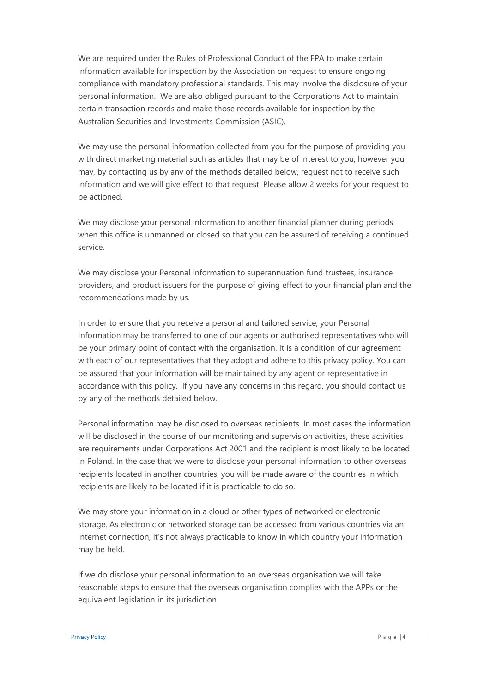We are required under the Rules of Professional Conduct of the FPA to make certain information available for inspection by the Association on request to ensure ongoing compliance with mandatory professional standards. This may involve the disclosure of your personal information. We are also obliged pursuant to the Corporations Act to maintain certain transaction records and make those records available for inspection by the Australian Securities and Investments Commission (ASIC).

We may use the personal information collected from you for the purpose of providing you with direct marketing material such as articles that may be of interest to you, however you may, by contacting us by any of the methods detailed below, request not to receive such information and we will give effect to that request. Please allow 2 weeks for your request to be actioned.

We may disclose your personal information to another financial planner during periods when this office is unmanned or closed so that you can be assured of receiving a continued service.

We may disclose your Personal Information to superannuation fund trustees, insurance providers, and product issuers for the purpose of giving effect to your financial plan and the recommendations made by us.

In order to ensure that you receive a personal and tailored service, your Personal Information may be transferred to one of our agents or authorised representatives who will be your primary point of contact with the organisation. It is a condition of our agreement with each of our representatives that they adopt and adhere to this privacy policy. You can be assured that your information will be maintained by any agent or representative in accordance with this policy. If you have any concerns in this regard, you should contact us by any of the methods detailed below.

Personal information may be disclosed to overseas recipients. In most cases the information will be disclosed in the course of our monitoring and supervision activities, these activities are requirements under Corporations Act 2001 and the recipient is most likely to be located in Poland. In the case that we were to disclose your personal information to other overseas recipients located in another countries, you will be made aware of the countries in which recipients are likely to be located if it is practicable to do so.

We may store your information in a cloud or other types of networked or electronic storage. As electronic or networked storage can be accessed from various countries via an internet connection, it's not always practicable to know in which country your information may be held.

If we do disclose your personal information to an overseas organisation we will take reasonable steps to ensure that the overseas organisation complies with the APPs or the equivalent legislation in its jurisdiction.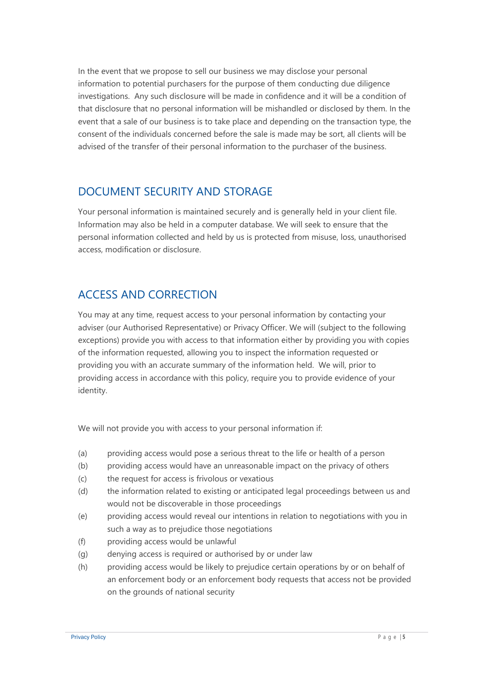In the event that we propose to sell our business we may disclose your personal information to potential purchasers for the purpose of them conducting due diligence investigations. Any such disclosure will be made in confidence and it will be a condition of that disclosure that no personal information will be mishandled or disclosed by them. In the event that a sale of our business is to take place and depending on the transaction type, the consent of the individuals concerned before the sale is made may be sort, all clients will be advised of the transfer of their personal information to the purchaser of the business.

#### DOCUMENT SECURITY AND STORAGE

Your personal information is maintained securely and is generally held in your client file. Information may also be held in a computer database. We will seek to ensure that the personal information collected and held by us is protected from misuse, loss, unauthorised access, modification or disclosure.

## ACCESS AND CORRECTION

You may at any time, request access to your personal information by contacting your adviser (our Authorised Representative) or Privacy Officer. We will (subject to the following exceptions) provide you with access to that information either by providing you with copies of the information requested, allowing you to inspect the information requested or providing you with an accurate summary of the information held. We will, prior to providing access in accordance with this policy, require you to provide evidence of your identity.

We will not provide you with access to your personal information if:

- (a) providing access would pose a serious threat to the life or health of a person
- (b) providing access would have an unreasonable impact on the privacy of others
- (c) the request for access is frivolous or vexatious
- (d) the information related to existing or anticipated legal proceedings between us and would not be discoverable in those proceedings
- (e) providing access would reveal our intentions in relation to negotiations with you in such a way as to prejudice those negotiations
- (f) providing access would be unlawful
- (g) denying access is required or authorised by or under law
- (h) providing access would be likely to prejudice certain operations by or on behalf of an enforcement body or an enforcement body requests that access not be provided on the grounds of national security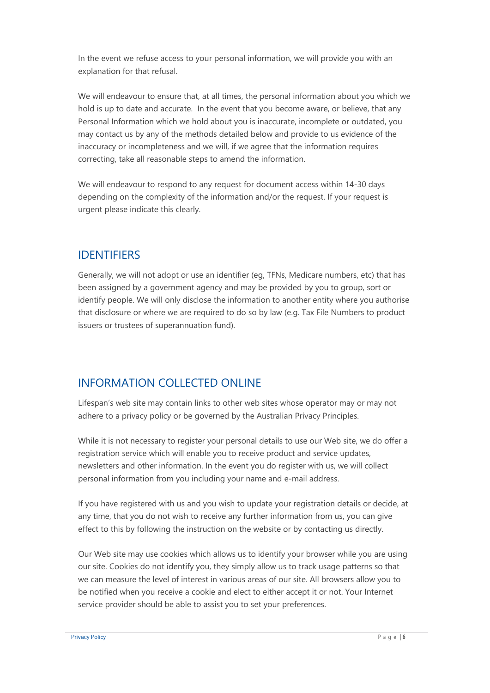In the event we refuse access to your personal information, we will provide you with an explanation for that refusal.

We will endeavour to ensure that, at all times, the personal information about you which we hold is up to date and accurate. In the event that you become aware, or believe, that any Personal Information which we hold about you is inaccurate, incomplete or outdated, you may contact us by any of the methods detailed below and provide to us evidence of the inaccuracy or incompleteness and we will, if we agree that the information requires correcting, take all reasonable steps to amend the information.

We will endeavour to respond to any request for document access within 14-30 days depending on the complexity of the information and/or the request. If your request is urgent please indicate this clearly.

## IDENTIFIERS

Generally, we will not adopt or use an identifier (eg, TFNs, Medicare numbers, etc) that has been assigned by a government agency and may be provided by you to group, sort or identify people. We will only disclose the information to another entity where you authorise that disclosure or where we are required to do so by law (e.g. Tax File Numbers to product issuers or trustees of superannuation fund).

## INFORMATION COLLECTED ONLINE

Lifespan's web site may contain links to other web sites whose operator may or may not adhere to a privacy policy or be governed by the Australian Privacy Principles.

While it is not necessary to register your personal details to use our Web site, we do offer a registration service which will enable you to receive product and service updates, newsletters and other information. In the event you do register with us, we will collect personal information from you including your name and e-mail address.

If you have registered with us and you wish to update your registration details or decide, at any time, that you do not wish to receive any further information from us, you can give effect to this by following the instruction on the website or by contacting us directly.

Our Web site may use cookies which allows us to identify your browser while you are using our site. Cookies do not identify you, they simply allow us to track usage patterns so that we can measure the level of interest in various areas of our site. All browsers allow you to be notified when you receive a cookie and elect to either accept it or not. Your Internet service provider should be able to assist you to set your preferences.